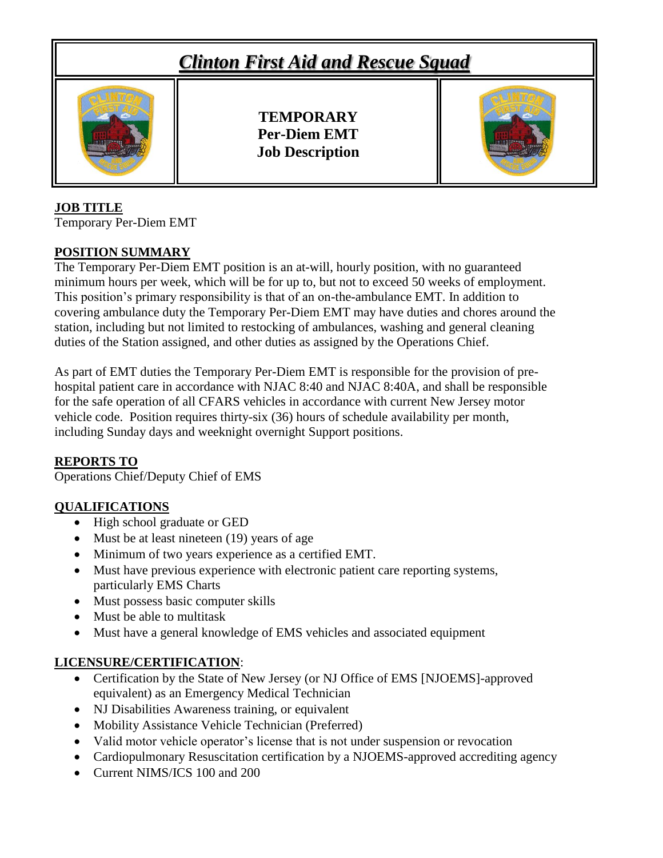# *Clinton First Aid and Rescue Squad* **TEMPORARY Per-Diem EMT Job Description**

### **JOB TITLE**

Temporary Per-Diem EMT

### **POSITION SUMMARY**

The Temporary Per-Diem EMT position is an at-will, hourly position, with no guaranteed minimum hours per week, which will be for up to, but not to exceed 50 weeks of employment. This position's primary responsibility is that of an on-the-ambulance EMT. In addition to covering ambulance duty the Temporary Per-Diem EMT may have duties and chores around the station, including but not limited to restocking of ambulances, washing and general cleaning duties of the Station assigned, and other duties as assigned by the Operations Chief.

As part of EMT duties the Temporary Per-Diem EMT is responsible for the provision of prehospital patient care in accordance with NJAC 8:40 and NJAC 8:40A, and shall be responsible for the safe operation of all CFARS vehicles in accordance with current New Jersey motor vehicle code. Position requires thirty-six (36) hours of schedule availability per month, including Sunday days and weeknight overnight Support positions.

#### **REPORTS TO**

Operations Chief/Deputy Chief of EMS

### **QUALIFICATIONS**

- High school graduate or GED
- Must be at least nineteen (19) years of age
- Minimum of two years experience as a certified EMT.
- Must have previous experience with electronic patient care reporting systems, particularly EMS Charts
- Must possess basic computer skills
- Must be able to multitask
- Must have a general knowledge of EMS vehicles and associated equipment

### **LICENSURE/CERTIFICATION**:

- Certification by the State of New Jersey (or NJ Office of EMS [NJOEMS]-approved equivalent) as an Emergency Medical Technician
- NJ Disabilities Awareness training, or equivalent
- Mobility Assistance Vehicle Technician (Preferred)
- Valid motor vehicle operator's license that is not under suspension or revocation
- Cardiopulmonary Resuscitation certification by a NJOEMS-approved accrediting agency
- Current NIMS/ICS 100 and 200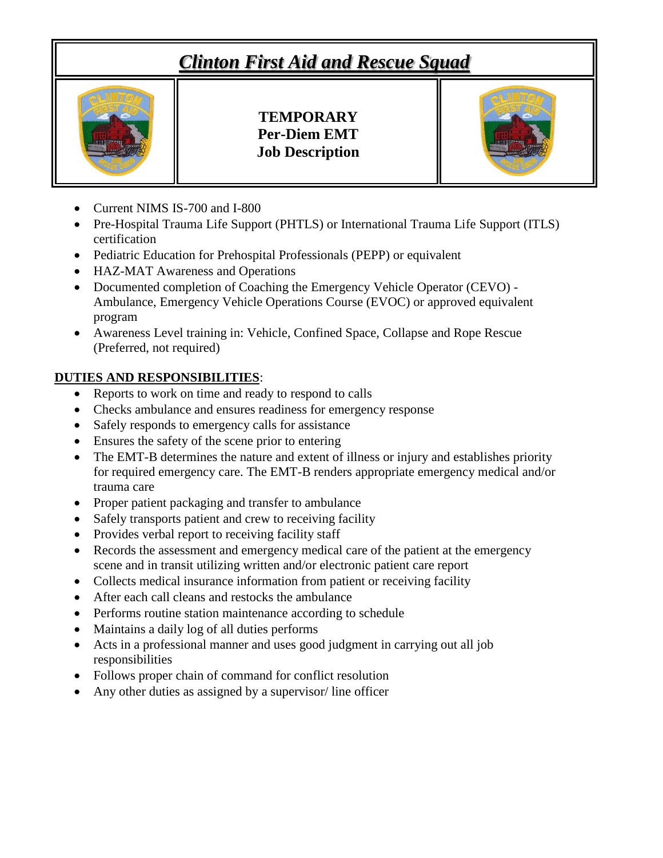# *Clinton First Aid and Rescue Squad*



**TEMPORARY Per-Diem EMT Job Description**

- Current NIMS IS-700 and I-800
- Pre-Hospital Trauma Life Support (PHTLS) or International Trauma Life Support (ITLS) certification
- Pediatric Education for Prehospital Professionals (PEPP) or equivalent
- HAZ-MAT Awareness and Operations
- Documented completion of Coaching the Emergency Vehicle Operator (CEVO) Ambulance, Emergency Vehicle Operations Course (EVOC) or approved equivalent program
- Awareness Level training in: Vehicle, Confined Space, Collapse and Rope Rescue (Preferred, not required)

### **DUTIES AND RESPONSIBILITIES**:

- Reports to work on time and ready to respond to calls
- Checks ambulance and ensures readiness for emergency response
- Safely responds to emergency calls for assistance
- Ensures the safety of the scene prior to entering
- The EMT-B determines the nature and extent of illness or injury and establishes priority for required emergency care. The EMT-B renders appropriate emergency medical and/or trauma care
- Proper patient packaging and transfer to ambulance
- Safely transports patient and crew to receiving facility
- Provides verbal report to receiving facility staff
- Records the assessment and emergency medical care of the patient at the emergency scene and in transit utilizing written and/or electronic patient care report
- Collects medical insurance information from patient or receiving facility
- After each call cleans and restocks the ambulance
- Performs routine station maintenance according to schedule
- Maintains a daily log of all duties performs
- Acts in a professional manner and uses good judgment in carrying out all job responsibilities
- Follows proper chain of command for conflict resolution
- Any other duties as assigned by a supervisor/ line officer